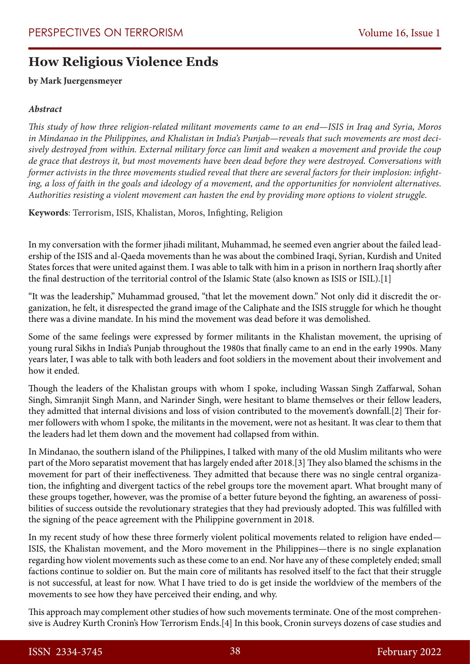# **How Religious Violence Ends**

### **by Mark Juergensmeyer**

### *Abstract*

*This study of how three religion-related militant movements came to an end—ISIS in Iraq and Syria, Moros in Mindanao in the Philippines, and Khalistan in India's Punjab—reveals that such movements are most decisively destroyed from within. External military force can limit and weaken a movement and provide the coup de grace that destroys it, but most movements have been dead before they were destroyed. Conversations with former activists in the three movements studied reveal that there are several factors for their implosion: infighting, a loss of faith in the goals and ideology of a movement, and the opportunities for nonviolent alternatives. Authorities resisting a violent movement can hasten the end by providing more options to violent struggle.*

**Keywords**: Terrorism, ISIS, Khalistan, Moros, Infighting, Religion

In my conversation with the former jihadi militant, Muhammad, he seemed even angrier about the failed leadership of the ISIS and al-Qaeda movements than he was about the combined Iraqi, Syrian, Kurdish and United States forces that were united against them. I was able to talk with him in a prison in northern Iraq shortly after the final destruction of the territorial control of the Islamic State (also known as ISIS or ISIL).[1]

"It was the leadership," Muhammad groused, "that let the movement down." Not only did it discredit the organization, he felt, it disrespected the grand image of the Caliphate and the ISIS struggle for which he thought there was a divine mandate. In his mind the movement was dead before it was demolished.

Some of the same feelings were expressed by former militants in the Khalistan movement, the uprising of young rural Sikhs in India's Punjab throughout the 1980s that finally came to an end in the early 1990s. Many years later, I was able to talk with both leaders and foot soldiers in the movement about their involvement and how it ended.

Though the leaders of the Khalistan groups with whom I spoke, including Wassan Singh Zaffarwal, Sohan Singh, Simranjit Singh Mann, and Narinder Singh, were hesitant to blame themselves or their fellow leaders, they admitted that internal divisions and loss of vision contributed to the movement's downfall.[2] Their former followers with whom I spoke, the militants in the movement, were not as hesitant. It was clear to them that the leaders had let them down and the movement had collapsed from within.

In Mindanao, the southern island of the Philippines, I talked with many of the old Muslim militants who were part of the Moro separatist movement that has largely ended after 2018.[3] They also blamed the schisms in the movement for part of their ineffectiveness. They admitted that because there was no single central organization, the infighting and divergent tactics of the rebel groups tore the movement apart. What brought many of these groups together, however, was the promise of a better future beyond the fighting, an awareness of possibilities of success outside the revolutionary strategies that they had previously adopted. This was fulfilled with the signing of the peace agreement with the Philippine government in 2018.

In my recent study of how these three formerly violent political movements related to religion have ended— ISIS, the Khalistan movement, and the Moro movement in the Philippines—there is no single explanation regarding how violent movements such as these come to an end. Nor have any of these completely ended; small factions continue to soldier on. But the main core of militants has resolved itself to the fact that their struggle is not successful, at least for now. What I have tried to do is get inside the worldview of the members of the movements to see how they have perceived their ending, and why.

This approach may complement other studies of how such movements terminate. One of the most comprehensive is Audrey Kurth Cronin's How Terrorism Ends.[4] In this book, Cronin surveys dozens of case studies and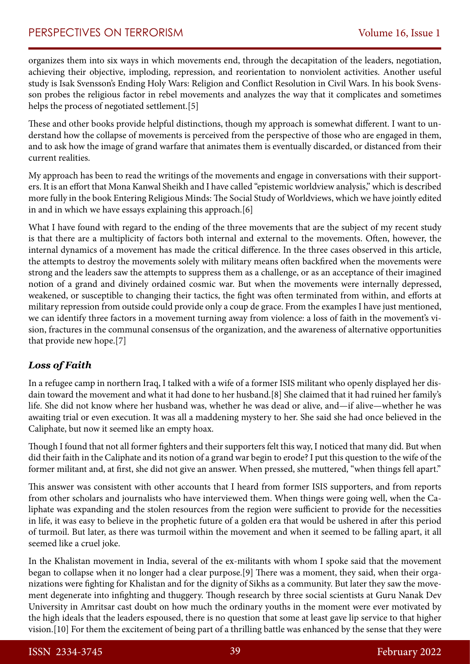organizes them into six ways in which movements end, through the decapitation of the leaders, negotiation, achieving their objective, imploding, repression, and reorientation to nonviolent activities. Another useful study is Isak Svensson's Ending Holy Wars: Religion and Conflict Resolution in Civil Wars. In his book Svensson probes the religious factor in rebel movements and analyzes the way that it complicates and sometimes helps the process of negotiated settlement.[5]

These and other books provide helpful distinctions, though my approach is somewhat different. I want to understand how the collapse of movements is perceived from the perspective of those who are engaged in them, and to ask how the image of grand warfare that animates them is eventually discarded, or distanced from their current realities.

My approach has been to read the writings of the movements and engage in conversations with their supporters. It is an effort that Mona Kanwal Sheikh and I have called "epistemic worldview analysis," which is described more fully in the book Entering Religious Minds: The Social Study of Worldviews, which we have jointly edited in and in which we have essays explaining this approach.[6]

What I have found with regard to the ending of the three movements that are the subject of my recent study is that there are a multiplicity of factors both internal and external to the movements. Often, however, the internal dynamics of a movement has made the critical difference. In the three cases observed in this article, the attempts to destroy the movements solely with military means often backfired when the movements were strong and the leaders saw the attempts to suppress them as a challenge, or as an acceptance of their imagined notion of a grand and divinely ordained cosmic war. But when the movements were internally depressed, weakened, or susceptible to changing their tactics, the fight was often terminated from within, and efforts at military repression from outside could provide only a coup de grace. From the examples I have just mentioned, we can identify three factors in a movement turning away from violence: a loss of faith in the movement's vision, fractures in the communal consensus of the organization, and the awareness of alternative opportunities that provide new hope.[7]

## *Loss of Faith*

In a refugee camp in northern Iraq, I talked with a wife of a former ISIS militant who openly displayed her disdain toward the movement and what it had done to her husband.[8] She claimed that it had ruined her family's life. She did not know where her husband was, whether he was dead or alive, and—if alive—whether he was awaiting trial or even execution. It was all a maddening mystery to her. She said she had once believed in the Caliphate, but now it seemed like an empty hoax.

Though I found that not all former fighters and their supporters felt this way, I noticed that many did. But when did their faith in the Caliphate and its notion of a grand war begin to erode? I put this question to the wife of the former militant and, at first, she did not give an answer. When pressed, she muttered, "when things fell apart."

This answer was consistent with other accounts that I heard from former ISIS supporters, and from reports from other scholars and journalists who have interviewed them. When things were going well, when the Caliphate was expanding and the stolen resources from the region were sufficient to provide for the necessities in life, it was easy to believe in the prophetic future of a golden era that would be ushered in after this period of turmoil. But later, as there was turmoil within the movement and when it seemed to be falling apart, it all seemed like a cruel joke.

In the Khalistan movement in India, several of the ex-militants with whom I spoke said that the movement began to collapse when it no longer had a clear purpose.[9] There was a moment, they said, when their organizations were fighting for Khalistan and for the dignity of Sikhs as a community. But later they saw the movement degenerate into infighting and thuggery. Though research by three social scientists at Guru Nanak Dev University in Amritsar cast doubt on how much the ordinary youths in the moment were ever motivated by the high ideals that the leaders espoused, there is no question that some at least gave lip service to that higher vision.[10] For them the excitement of being part of a thrilling battle was enhanced by the sense that they were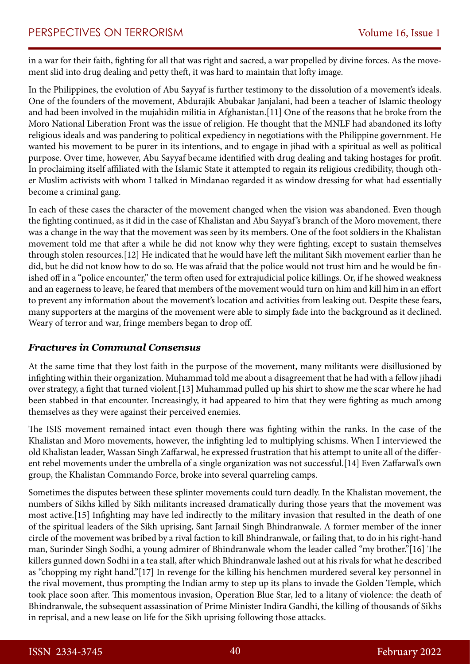in a war for their faith, fighting for all that was right and sacred, a war propelled by divine forces. As the movement slid into drug dealing and petty theft, it was hard to maintain that lofty image.

In the Philippines, the evolution of Abu Sayyaf is further testimony to the dissolution of a movement's ideals. One of the founders of the movement, Abdurajik Abubakar Janjalani, had been a teacher of Islamic theology and had been involved in the mujahidin militia in Afghanistan.[11] One of the reasons that he broke from the Moro National Liberation Front was the issue of religion. He thought that the MNLF had abandoned its lofty religious ideals and was pandering to political expediency in negotiations with the Philippine government. He wanted his movement to be purer in its intentions, and to engage in jihad with a spiritual as well as political purpose. Over time, however, Abu Sayyaf became identified with drug dealing and taking hostages for profit. In proclaiming itself affiliated with the Islamic State it attempted to regain its religious credibility, though other Muslim activists with whom I talked in Mindanao regarded it as window dressing for what had essentially become a criminal gang.

In each of these cases the character of the movement changed when the vision was abandoned. Even though the fighting continued, as it did in the case of Khalistan and Abu Sayyaf 's branch of the Moro movement, there was a change in the way that the movement was seen by its members. One of the foot soldiers in the Khalistan movement told me that after a while he did not know why they were fighting, except to sustain themselves through stolen resources.[12] He indicated that he would have left the militant Sikh movement earlier than he did, but he did not know how to do so. He was afraid that the police would not trust him and he would be finished off in a "police encounter," the term often used for extrajudicial police killings. Or, if he showed weakness and an eagerness to leave, he feared that members of the movement would turn on him and kill him in an effort to prevent any information about the movement's location and activities from leaking out. Despite these fears, many supporters at the margins of the movement were able to simply fade into the background as it declined. Weary of terror and war, fringe members began to drop off.

## *Fractures in Communal Consensus*

At the same time that they lost faith in the purpose of the movement, many militants were disillusioned by infighting within their organization. Muhammad told me about a disagreement that he had with a fellow jihadi over strategy, a fight that turned violent.[13] Muhammad pulled up his shirt to show me the scar where he had been stabbed in that encounter. Increasingly, it had appeared to him that they were fighting as much among themselves as they were against their perceived enemies.

The ISIS movement remained intact even though there was fighting within the ranks. In the case of the Khalistan and Moro movements, however, the infighting led to multiplying schisms. When I interviewed the old Khalistan leader, Wassan Singh Zaffarwal, he expressed frustration that his attempt to unite all of the different rebel movements under the umbrella of a single organization was not successful.[14] Even Zaffarwal's own group, the Khalistan Commando Force, broke into several quarreling camps.

Sometimes the disputes between these splinter movements could turn deadly. In the Khalistan movement, the numbers of Sikhs killed by Sikh militants increased dramatically during those years that the movement was most active.[15] Infighting may have led indirectly to the military invasion that resulted in the death of one of the spiritual leaders of the Sikh uprising, Sant Jarnail Singh Bhindranwale. A former member of the inner circle of the movement was bribed by a rival faction to kill Bhindranwale, or failing that, to do in his right-hand man, Surinder Singh Sodhi, a young admirer of Bhindranwale whom the leader called "my brother."[16] The killers gunned down Sodhi in a tea stall, after which Bhindranwale lashed out at his rivals for what he described as "chopping my right hand."[17] In revenge for the killing his henchmen murdered several key personnel in the rival movement, thus prompting the Indian army to step up its plans to invade the Golden Temple, which took place soon after. This momentous invasion, Operation Blue Star, led to a litany of violence: the death of Bhindranwale, the subsequent assassination of Prime Minister Indira Gandhi, the killing of thousands of Sikhs in reprisal, and a new lease on life for the Sikh uprising following those attacks.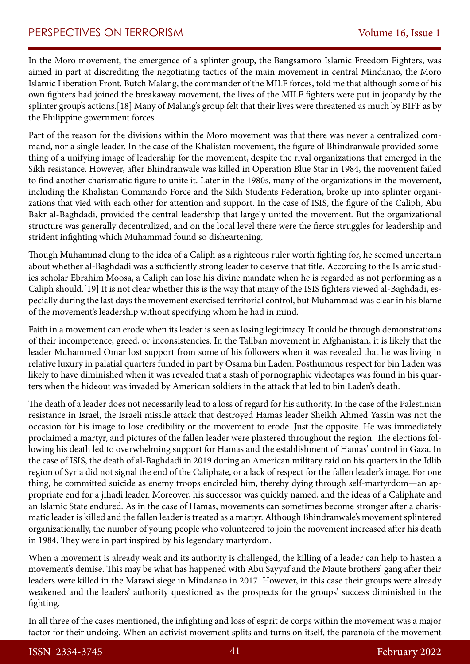In the Moro movement, the emergence of a splinter group, the Bangsamoro Islamic Freedom Fighters, was aimed in part at discrediting the negotiating tactics of the main movement in central Mindanao, the Moro Islamic Liberation Front. Butch Malang, the commander of the MILF forces, told me that although some of his own fighters had joined the breakaway movement, the lives of the MILF fighters were put in jeopardy by the splinter group's actions.[18] Many of Malang's group felt that their lives were threatened as much by BIFF as by the Philippine government forces.

Part of the reason for the divisions within the Moro movement was that there was never a centralized command, nor a single leader. In the case of the Khalistan movement, the figure of Bhindranwale provided something of a unifying image of leadership for the movement, despite the rival organizations that emerged in the Sikh resistance. However, after Bhindranwale was killed in Operation Blue Star in 1984, the movement failed to find another charismatic figure to unite it. Later in the 1980s, many of the organizations in the movement, including the Khalistan Commando Force and the Sikh Students Federation, broke up into splinter organizations that vied with each other for attention and support. In the case of ISIS, the figure of the Caliph, Abu Bakr al-Baghdadi, provided the central leadership that largely united the movement. But the organizational structure was generally decentralized, and on the local level there were the fierce struggles for leadership and strident infighting which Muhammad found so disheartening.

Though Muhammad clung to the idea of a Caliph as a righteous ruler worth fighting for, he seemed uncertain about whether al-Baghdadi was a sufficiently strong leader to deserve that title. According to the Islamic studies scholar Ebrahim Moosa, a Caliph can lose his divine mandate when he is regarded as not performing as a Caliph should.[19] It is not clear whether this is the way that many of the ISIS fighters viewed al-Baghdadi, especially during the last days the movement exercised territorial control, but Muhammad was clear in his blame of the movement's leadership without specifying whom he had in mind.

Faith in a movement can erode when its leader is seen as losing legitimacy. It could be through demonstrations of their incompetence, greed, or inconsistencies. In the Taliban movement in Afghanistan, it is likely that the leader Muhammed Omar lost support from some of his followers when it was revealed that he was living in relative luxury in palatial quarters funded in part by Osama bin Laden. Posthumous respect for bin Laden was likely to have diminished when it was revealed that a stash of pornographic videotapes was found in his quarters when the hideout was invaded by American soldiers in the attack that led to bin Laden's death.

The death of a leader does not necessarily lead to a loss of regard for his authority. In the case of the Palestinian resistance in Israel, the Israeli missile attack that destroyed Hamas leader Sheikh Ahmed Yassin was not the occasion for his image to lose credibility or the movement to erode. Just the opposite. He was immediately proclaimed a martyr, and pictures of the fallen leader were plastered throughout the region. The elections following his death led to overwhelming support for Hamas and the establishment of Hamas' control in Gaza. In the case of ISIS, the death of al-Baghdadi in 2019 during an American military raid on his quarters in the Idlib region of Syria did not signal the end of the Caliphate, or a lack of respect for the fallen leader's image. For one thing, he committed suicide as enemy troops encircled him, thereby dying through self-martyrdom—an appropriate end for a jihadi leader. Moreover, his successor was quickly named, and the ideas of a Caliphate and an Islamic State endured. As in the case of Hamas, movements can sometimes become stronger after a charismatic leader is killed and the fallen leader is treated as a martyr. Although Bhindranwale's movement splintered organizationally, the number of young people who volunteered to join the movement increased after his death in 1984. They were in part inspired by his legendary martyrdom.

When a movement is already weak and its authority is challenged, the killing of a leader can help to hasten a movement's demise. This may be what has happened with Abu Sayyaf and the Maute brothers' gang after their leaders were killed in the Marawi siege in Mindanao in 2017. However, in this case their groups were already weakened and the leaders' authority questioned as the prospects for the groups' success diminished in the fighting.

In all three of the cases mentioned, the infighting and loss of esprit de corps within the movement was a major factor for their undoing. When an activist movement splits and turns on itself, the paranoia of the movement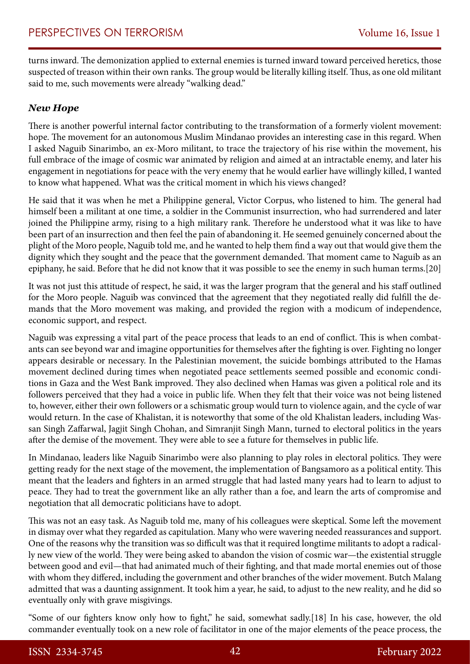turns inward. The demonization applied to external enemies is turned inward toward perceived heretics, those suspected of treason within their own ranks. The group would be literally killing itself. Thus, as one old militant said to me, such movements were already "walking dead."

## *New Hope*

There is another powerful internal factor contributing to the transformation of a formerly violent movement: hope. The movement for an autonomous Muslim Mindanao provides an interesting case in this regard. When I asked Naguib Sinarimbo, an ex-Moro militant, to trace the trajectory of his rise within the movement, his full embrace of the image of cosmic war animated by religion and aimed at an intractable enemy, and later his engagement in negotiations for peace with the very enemy that he would earlier have willingly killed, I wanted to know what happened. What was the critical moment in which his views changed?

He said that it was when he met a Philippine general, Victor Corpus, who listened to him. The general had himself been a militant at one time, a soldier in the Communist insurrection, who had surrendered and later joined the Philippine army, rising to a high military rank. Therefore he understood what it was like to have been part of an insurrection and then feel the pain of abandoning it. He seemed genuinely concerned about the plight of the Moro people, Naguib told me, and he wanted to help them find a way out that would give them the dignity which they sought and the peace that the government demanded. That moment came to Naguib as an epiphany, he said. Before that he did not know that it was possible to see the enemy in such human terms.[20]

It was not just this attitude of respect, he said, it was the larger program that the general and his staff outlined for the Moro people. Naguib was convinced that the agreement that they negotiated really did fulfill the demands that the Moro movement was making, and provided the region with a modicum of independence, economic support, and respect.

Naguib was expressing a vital part of the peace process that leads to an end of conflict. This is when combatants can see beyond war and imagine opportunities for themselves after the fighting is over. Fighting no longer appears desirable or necessary. In the Palestinian movement, the suicide bombings attributed to the Hamas movement declined during times when negotiated peace settlements seemed possible and economic conditions in Gaza and the West Bank improved. They also declined when Hamas was given a political role and its followers perceived that they had a voice in public life. When they felt that their voice was not being listened to, however, either their own followers or a schismatic group would turn to violence again, and the cycle of war would return. In the case of Khalistan, it is noteworthy that some of the old Khalistan leaders, including Wassan Singh Zaffarwal, Jagjit Singh Chohan, and Simranjit Singh Mann, turned to electoral politics in the years after the demise of the movement. They were able to see a future for themselves in public life.

In Mindanao, leaders like Naguib Sinarimbo were also planning to play roles in electoral politics. They were getting ready for the next stage of the movement, the implementation of Bangsamoro as a political entity. This meant that the leaders and fighters in an armed struggle that had lasted many years had to learn to adjust to peace. They had to treat the government like an ally rather than a foe, and learn the arts of compromise and negotiation that all democratic politicians have to adopt.

This was not an easy task. As Naguib told me, many of his colleagues were skeptical. Some left the movement in dismay over what they regarded as capitulation. Many who were wavering needed reassurances and support. One of the reasons why the transition was so difficult was that it required longtime militants to adopt a radically new view of the world. They were being asked to abandon the vision of cosmic war—the existential struggle between good and evil—that had animated much of their fighting, and that made mortal enemies out of those with whom they differed, including the government and other branches of the wider movement. Butch Malang admitted that was a daunting assignment. It took him a year, he said, to adjust to the new reality, and he did so eventually only with grave misgivings.

"Some of our fighters know only how to fight," he said, somewhat sadly.[18] In his case, however, the old commander eventually took on a new role of facilitator in one of the major elements of the peace process, the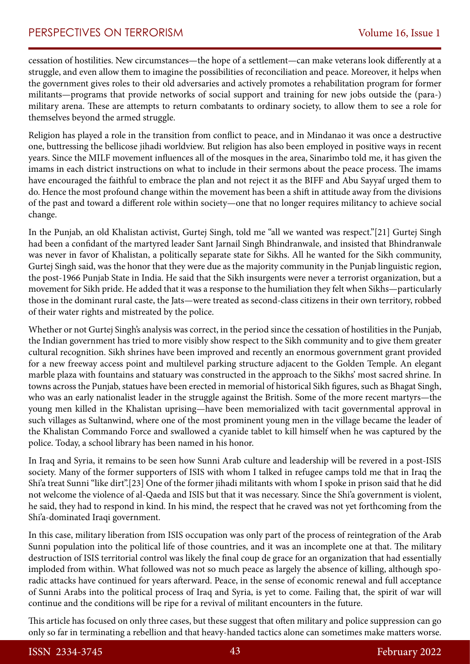cessation of hostilities. New circumstances—the hope of a settlement—can make veterans look differently at a struggle, and even allow them to imagine the possibilities of reconciliation and peace. Moreover, it helps when the government gives roles to their old adversaries and actively promotes a rehabilitation program for former militants—programs that provide networks of social support and training for new jobs outside the (para-) military arena. These are attempts to return combatants to ordinary society, to allow them to see a role for themselves beyond the armed struggle.

Religion has played a role in the transition from conflict to peace, and in Mindanao it was once a destructive one, buttressing the bellicose jihadi worldview. But religion has also been employed in positive ways in recent years. Since the MILF movement influences all of the mosques in the area, Sinarimbo told me, it has given the imams in each district instructions on what to include in their sermons about the peace process. The imams have encouraged the faithful to embrace the plan and not reject it as the BIFF and Abu Sayyaf urged them to do. Hence the most profound change within the movement has been a shift in attitude away from the divisions of the past and toward a different role within society—one that no longer requires militancy to achieve social change.

In the Punjab, an old Khalistan activist, Gurtej Singh, told me "all we wanted was respect."[21] Gurtej Singh had been a confidant of the martyred leader Sant Jarnail Singh Bhindranwale, and insisted that Bhindranwale was never in favor of Khalistan, a politically separate state for Sikhs. All he wanted for the Sikh community, Gurtej Singh said, was the honor that they were due as the majority community in the Punjab linguistic region, the post-1966 Punjab State in India. He said that the Sikh insurgents were never a terrorist organization, but a movement for Sikh pride. He added that it was a response to the humiliation they felt when Sikhs—particularly those in the dominant rural caste, the Jats—were treated as second-class citizens in their own territory, robbed of their water rights and mistreated by the police.

Whether or not Gurtej Singh's analysis was correct, in the period since the cessation of hostilities in the Punjab, the Indian government has tried to more visibly show respect to the Sikh community and to give them greater cultural recognition. Sikh shrines have been improved and recently an enormous government grant provided for a new freeway access point and multilevel parking structure adjacent to the Golden Temple. An elegant marble plaza with fountains and statuary was constructed in the approach to the Sikhs' most sacred shrine. In towns across the Punjab, statues have been erected in memorial of historical Sikh figures, such as Bhagat Singh, who was an early nationalist leader in the struggle against the British. Some of the more recent martyrs—the young men killed in the Khalistan uprising—have been memorialized with tacit governmental approval in such villages as Sultanwind, where one of the most prominent young men in the village became the leader of the Khalistan Commando Force and swallowed a cyanide tablet to kill himself when he was captured by the police. Today, a school library has been named in his honor.

In Iraq and Syria, it remains to be seen how Sunni Arab culture and leadership will be revered in a post-ISIS society. Many of the former supporters of ISIS with whom I talked in refugee camps told me that in Iraq the Shi'a treat Sunni "like dirt".[23] One of the former jihadi militants with whom I spoke in prison said that he did not welcome the violence of al-Qaeda and ISIS but that it was necessary. Since the Shi'a government is violent, he said, they had to respond in kind. In his mind, the respect that he craved was not yet forthcoming from the Shi'a-dominated Iraqi government.

In this case, military liberation from ISIS occupation was only part of the process of reintegration of the Arab Sunni population into the political life of those countries, and it was an incomplete one at that. The military destruction of ISIS territorial control was likely the final coup de grace for an organization that had essentially imploded from within. What followed was not so much peace as largely the absence of killing, although sporadic attacks have continued for years afterward. Peace, in the sense of economic renewal and full acceptance of Sunni Arabs into the political process of Iraq and Syria, is yet to come. Failing that, the spirit of war will continue and the conditions will be ripe for a revival of militant encounters in the future.

This article has focused on only three cases, but these suggest that often military and police suppression can go only so far in terminating a rebellion and that heavy-handed tactics alone can sometimes make matters worse.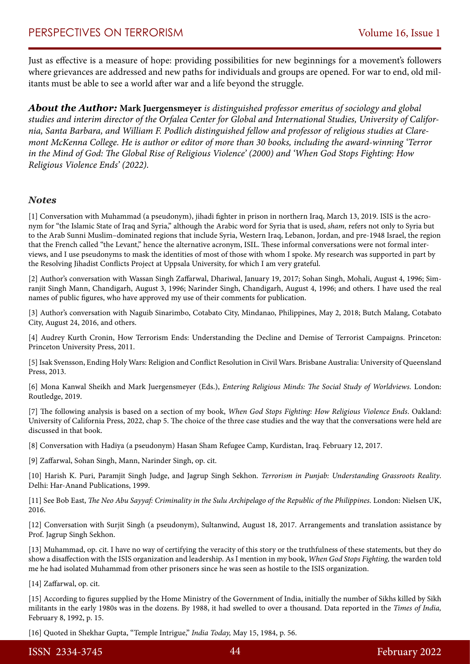Just as effective is a measure of hope: providing possibilities for new beginnings for a movement's followers where grievances are addressed and new paths for individuals and groups are opened. For war to end, old militants must be able to see a world after war and a life beyond the struggle.

*About the Author:* **Mark Juergensmeyer** *is distinguished professor emeritus of sociology and global studies and interim director of the Orfalea Center for Global and International Studies, University of California, Santa Barbara, and William F. Podlich distinguished fellow and professor of religious studies at Claremont McKenna College. He is author or editor of more than 30 books, including the award-winning 'Terror in the Mind of God: The Global Rise of Religious Violence' (2000) and 'When God Stops Fighting: How Religious Violence Ends' (2022).*

#### *Notes*

[1] Conversation with Muhammad (a pseudonym), jihadi fighter in prison in northern Iraq, March 13, 2019. ISIS is the acronym for "the Islamic State of Iraq and Syria," although the Arabic word for Syria that is used, *sham,* refers not only to Syria but to the Arab Sunni Muslim–dominated regions that include Syria, Western Iraq, Lebanon, Jordan, and pre-1948 Israel, the region that the French called "the Levant," hence the alternative acronym, ISIL. These informal conversations were not formal interviews, and I use pseudonyms to mask the identities of most of those with whom I spoke. My research was supported in part by the Resolving Jihadist Conflicts Project at Uppsala University, for which I am very grateful.

[2] Author's conversation with Wassan Singh Zaffarwal, Dhariwal, January 19, 2017; Sohan Singh, Mohali, August 4, 1996; Simranjit Singh Mann, Chandigarh, August 3, 1996; Narinder Singh, Chandigarh, August 4, 1996; and others. I have used the real names of public figures, who have approved my use of their comments for publication.

[3] Author's conversation with Naguib Sinarimbo, Cotabato City, Mindanao, Philippines, May 2, 2018; Butch Malang, Cotabato City, August 24, 2016, and others.

[4] Audrey Kurth Cronin, How Terrorism Ends: Understanding the Decline and Demise of Terrorist Campaigns. Princeton: Princeton University Press, 2011.

[5] Isak Svensson, Ending Holy Wars: Religion and Conflict Resolution in Civil Wars. Brisbane Australia: University of Queensland Press, 2013.

[6] Mona Kanwal Sheikh and Mark Juergensmeyer (Eds.), *Entering Religious Minds: The Social Study of Worldviews.* London: Routledge, 2019.

[7] The following analysis is based on a section of my book, *When God Stops Fighting: How Religious Violence Ends*. Oakland: University of California Press, 2022, chap 5. The choice of the three case studies and the way that the conversations were held are discussed in that book.

[8] Conversation with Hadiya (a pseudonym) Hasan Sham Refugee Camp, Kurdistan, Iraq. February 12, 2017.

[9] Zaffarwal, Sohan Singh, Mann, Narinder Singh, op. cit.

[10] Harish K. Puri, Paramjit Singh Judge, and Jagrup Singh Sekhon. *Terrorism in Punjab: Understanding Grassroots Reality*. Delhi: Har-Anand Publications, 1999.

[11] See Bob East, *The Neo Abu Sayyaf: Criminality in the Sulu Archipelago of the Republic of the Philippines.* London: Nielsen UK, 2016.

[12] Conversation with Surjit Singh (a pseudonym), Sultanwind, August 18, 2017. Arrangements and translation assistance by Prof. Jagrup Singh Sekhon.

[13] Muhammad, op. cit. I have no way of certifying the veracity of this story or the truthfulness of these statements, but they do show a disaffection with the ISIS organization and leadership. As I mention in my book, *When God Stops Fighting,* the warden told me he had isolated Muhammad from other prisoners since he was seen as hostile to the ISIS organization.

[14] Zaffarwal, op. cit.

[15] According to figures supplied by the Home Ministry of the Government of India, initially the number of Sikhs killed by Sikh militants in the early 1980s was in the dozens. By 1988, it had swelled to over a thousand. Data reported in the *Times of India,* February 8, 1992, p. 15.

[16] Quoted in Shekhar Gupta, "Temple Intrigue," *India Today,* May 15, 1984, p. 56.